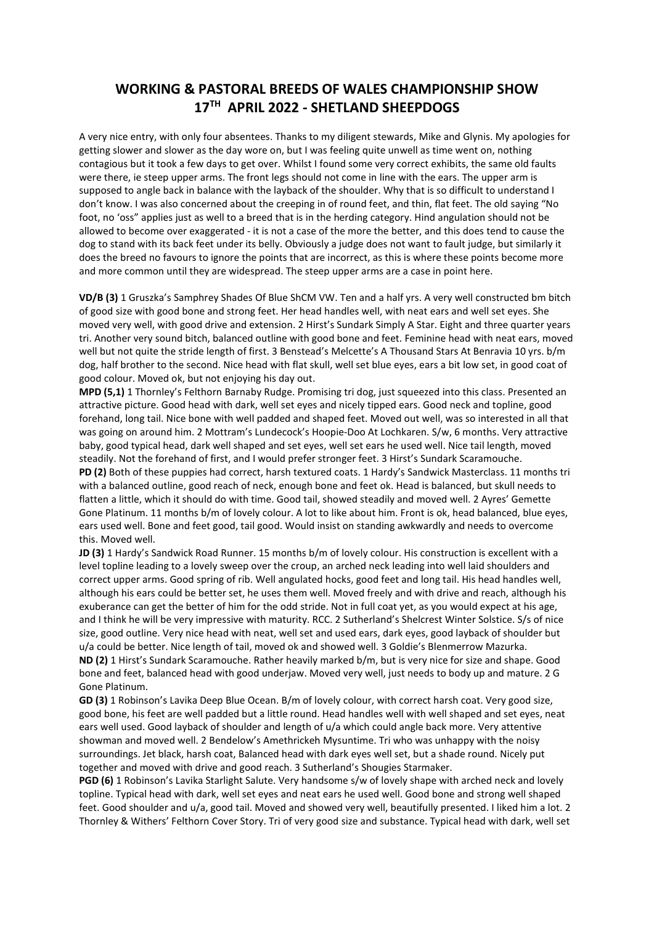## WORKING & PASTORAL BREEDS OF WALES CHAMPIONSHIP SHOW 17TH APRIL 2022 - SHETLAND SHEEPDOGS

A very nice entry, with only four absentees. Thanks to my diligent stewards, Mike and Glynis. My apologies for getting slower and slower as the day wore on, but I was feeling quite unwell as time went on, nothing contagious but it took a few days to get over. Whilst I found some very correct exhibits, the same old faults were there, ie steep upper arms. The front legs should not come in line with the ears. The upper arm is supposed to angle back in balance with the layback of the shoulder. Why that is so difficult to understand I don't know. I was also concerned about the creeping in of round feet, and thin, flat feet. The old saying "No foot, no 'oss" applies just as well to a breed that is in the herding category. Hind angulation should not be allowed to become over exaggerated - it is not a case of the more the better, and this does tend to cause the dog to stand with its back feet under its belly. Obviously a judge does not want to fault judge, but similarly it does the breed no favours to ignore the points that are incorrect, as this is where these points become more and more common until they are widespread. The steep upper arms are a case in point here.

VD/B (3) 1 Gruszka's Samphrey Shades Of Blue ShCM VW. Ten and a half yrs. A very well constructed bm bitch of good size with good bone and strong feet. Her head handles well, with neat ears and well set eyes. She moved very well, with good drive and extension. 2 Hirst's Sundark Simply A Star. Eight and three quarter years tri. Another very sound bitch, balanced outline with good bone and feet. Feminine head with neat ears, moved well but not quite the stride length of first. 3 Benstead's Melcette's A Thousand Stars At Benravia 10 yrs. b/m dog, half brother to the second. Nice head with flat skull, well set blue eyes, ears a bit low set, in good coat of good colour. Moved ok, but not enjoying his day out.

MPD (5,1) 1 Thornley's Felthorn Barnaby Rudge. Promising tri dog, just squeezed into this class. Presented an attractive picture. Good head with dark, well set eyes and nicely tipped ears. Good neck and topline, good forehand, long tail. Nice bone with well padded and shaped feet. Moved out well, was so interested in all that was going on around him. 2 Mottram's Lundecock's Hoopie-Doo At Lochkaren. S/w, 6 months. Very attractive baby, good typical head, dark well shaped and set eyes, well set ears he used well. Nice tail length, moved steadily. Not the forehand of first, and I would prefer stronger feet. 3 Hirst's Sundark Scaramouche. PD (2) Both of these puppies had correct, harsh textured coats. 1 Hardy's Sandwick Masterclass. 11 months tri with a balanced outline, good reach of neck, enough bone and feet ok. Head is balanced, but skull needs to flatten a little, which it should do with time. Good tail, showed steadily and moved well. 2 Ayres' Gemette Gone Platinum. 11 months b/m of lovely colour. A lot to like about him. Front is ok, head balanced, blue eyes, ears used well. Bone and feet good, tail good. Would insist on standing awkwardly and needs to overcome this. Moved well.

JD (3) 1 Hardy's Sandwick Road Runner. 15 months b/m of lovely colour. His construction is excellent with a level topline leading to a lovely sweep over the croup, an arched neck leading into well laid shoulders and correct upper arms. Good spring of rib. Well angulated hocks, good feet and long tail. His head handles well, although his ears could be better set, he uses them well. Moved freely and with drive and reach, although his exuberance can get the better of him for the odd stride. Not in full coat yet, as you would expect at his age, and I think he will be very impressive with maturity. RCC. 2 Sutherland's Shelcrest Winter Solstice. S/s of nice size, good outline. Very nice head with neat, well set and used ears, dark eyes, good layback of shoulder but u/a could be better. Nice length of tail, moved ok and showed well. 3 Goldie's Blenmerrow Mazurka. ND (2) 1 Hirst's Sundark Scaramouche. Rather heavily marked b/m, but is very nice for size and shape. Good

bone and feet, balanced head with good underjaw. Moved very well, just needs to body up and mature. 2 G Gone Platinum.

GD (3) 1 Robinson's Lavika Deep Blue Ocean. B/m of lovely colour, with correct harsh coat. Very good size, good bone, his feet are well padded but a little round. Head handles well with well shaped and set eyes, neat ears well used. Good layback of shoulder and length of u/a which could angle back more. Very attentive showman and moved well. 2 Bendelow's Amethrickeh Mysuntime. Tri who was unhappy with the noisy surroundings. Jet black, harsh coat, Balanced head with dark eyes well set, but a shade round. Nicely put together and moved with drive and good reach. 3 Sutherland's Shougies Starmaker.

PGD (6) 1 Robinson's Lavika Starlight Salute. Very handsome s/w of lovely shape with arched neck and lovely topline. Typical head with dark, well set eyes and neat ears he used well. Good bone and strong well shaped feet. Good shoulder and u/a, good tail. Moved and showed very well, beautifully presented. I liked him a lot. 2 Thornley & Withers' Felthorn Cover Story. Tri of very good size and substance. Typical head with dark, well set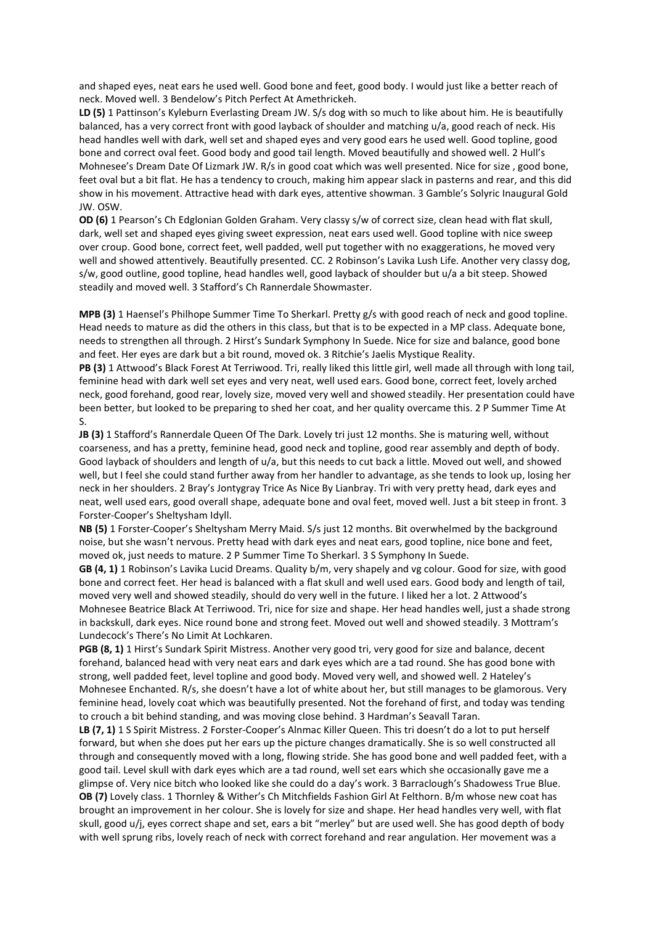and shaped eyes, neat ears he used well. Good bone and feet, good body. I would just like a better reach of neck. Moved well. 3 Bendelow's Pitch Perfect At Amethrickeh.

LD (5) 1 Pattinson's Kyleburn Everlasting Dream JW. S/s dog with so much to like about him. He is beautifully balanced, has a very correct front with good layback of shoulder and matching u/a, good reach of neck. His head handles well with dark, well set and shaped eyes and very good ears he used well. Good topline, good bone and correct oval feet. Good body and good tail length. Moved beautifully and showed well. 2 Hull's Mohnesee's Dream Date Of Lizmark JW. R/s in good coat which was well presented. Nice for size , good bone, feet oval but a bit flat. He has a tendency to crouch, making him appear slack in pasterns and rear, and this did show in his movement. Attractive head with dark eyes, attentive showman. 3 Gamble's Solyric Inaugural Gold JW. OSW.

OD (6) 1 Pearson's Ch Edglonian Golden Graham. Very classy s/w of correct size, clean head with flat skull, dark, well set and shaped eyes giving sweet expression, neat ears used well. Good topline with nice sweep over croup. Good bone, correct feet, well padded, well put together with no exaggerations, he moved very well and showed attentively. Beautifully presented. CC. 2 Robinson's Lavika Lush Life. Another very classy dog, s/w, good outline, good topline, head handles well, good layback of shoulder but u/a a bit steep. Showed steadily and moved well. 3 Stafford's Ch Rannerdale Showmaster.

MPB (3) 1 Haensel's Philhope Summer Time To Sherkarl. Pretty g/s with good reach of neck and good topline. Head needs to mature as did the others in this class, but that is to be expected in a MP class. Adequate bone, needs to strengthen all through. 2 Hirst's Sundark Symphony In Suede. Nice for size and balance, good bone and feet. Her eyes are dark but a bit round, moved ok. 3 Ritchie's Jaelis Mystique Reality.

PB (3) 1 Attwood's Black Forest At Terriwood. Tri, really liked this little girl, well made all through with long tail, feminine head with dark well set eyes and very neat, well used ears. Good bone, correct feet, lovely arched neck, good forehand, good rear, lovely size, moved very well and showed steadily. Her presentation could have been better, but looked to be preparing to shed her coat, and her quality overcame this. 2 P Summer Time At S.

JB (3) 1 Stafford's Rannerdale Queen Of The Dark. Lovely tri just 12 months. She is maturing well, without coarseness, and has a pretty, feminine head, good neck and topline, good rear assembly and depth of body. Good layback of shoulders and length of u/a, but this needs to cut back a little. Moved out well, and showed well, but I feel she could stand further away from her handler to advantage, as she tends to look up, losing her neck in her shoulders. 2 Bray's Jontygray Trice As Nice By Lianbray. Tri with very pretty head, dark eyes and neat, well used ears, good overall shape, adequate bone and oval feet, moved well. Just a bit steep in front. 3 Forster-Cooper's Sheltysham Idyll.

NB (5) 1 Forster-Cooper's Sheltysham Merry Maid. S/s just 12 months. Bit overwhelmed by the background noise, but she wasn't nervous. Pretty head with dark eyes and neat ears, good topline, nice bone and feet, moved ok, just needs to mature. 2 P Summer Time To Sherkarl. 3 S Symphony In Suede.

GB (4, 1) 1 Robinson's Lavika Lucid Dreams. Quality b/m, very shapely and vg colour. Good for size, with good bone and correct feet. Her head is balanced with a flat skull and well used ears. Good body and length of tail, moved very well and showed steadily, should do very well in the future. I liked her a lot. 2 Attwood's Mohnesee Beatrice Black At Terriwood. Tri, nice for size and shape. Her head handles well, just a shade strong in backskull, dark eyes. Nice round bone and strong feet. Moved out well and showed steadily. 3 Mottram's Lundecock's There's No Limit At Lochkaren.

PGB (8, 1) 1 Hirst's Sundark Spirit Mistress. Another very good tri, very good for size and balance, decent forehand, balanced head with very neat ears and dark eyes which are a tad round. She has good bone with strong, well padded feet, level topline and good body. Moved very well, and showed well. 2 Hateley's Mohnesee Enchanted. R/s, she doesn't have a lot of white about her, but still manages to be glamorous. Very feminine head, lovely coat which was beautifully presented. Not the forehand of first, and today was tending to crouch a bit behind standing, and was moving close behind. 3 Hardman's Seavall Taran.

LB (7, 1) 1 S Spirit Mistress. 2 Forster-Cooper's Alnmac Killer Queen. This tri doesn't do a lot to put herself forward, but when she does put her ears up the picture changes dramatically. She is so well constructed all through and consequently moved with a long, flowing stride. She has good bone and well padded feet, with a good tail. Level skull with dark eyes which are a tad round, well set ears which she occasionally gave me a glimpse of. Very nice bitch who looked like she could do a day's work. 3 Barraclough's Shadowess True Blue. OB (7) Lovely class. 1 Thornley & Wither's Ch Mitchfields Fashion Girl At Felthorn. B/m whose new coat has brought an improvement in her colour. She is lovely for size and shape. Her head handles very well, with flat skull, good u/j, eyes correct shape and set, ears a bit "merley" but are used well. She has good depth of body with well sprung ribs, lovely reach of neck with correct forehand and rear angulation. Her movement was a